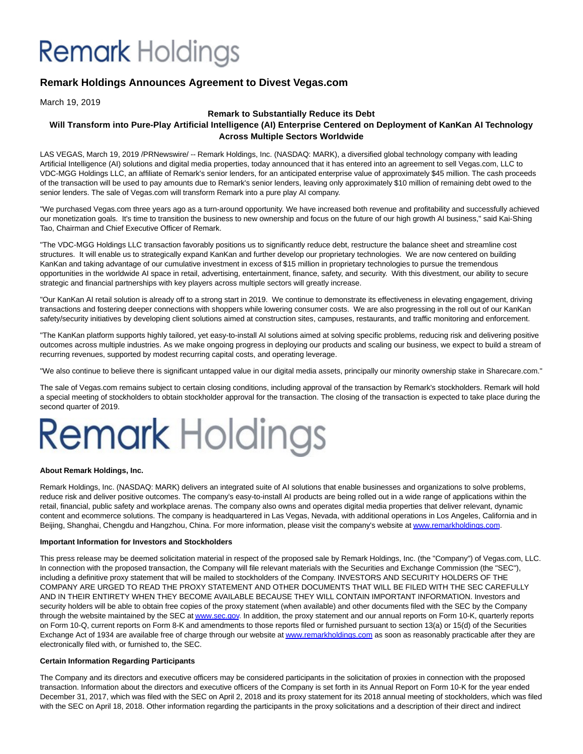## **Remark** Holdings

### **Remark Holdings Announces Agreement to Divest Vegas.com**

March 19, 2019

### **Remark to Substantially Reduce its Debt**

### **Will Transform into Pure-Play Artificial Intelligence (AI) Enterprise Centered on Deployment of KanKan AI Technology Across Multiple Sectors Worldwide**

LAS VEGAS, March 19, 2019 /PRNewswire/ -- Remark Holdings, Inc. (NASDAQ: MARK), a diversified global technology company with leading Artificial Intelligence (AI) solutions and digital media properties, today announced that it has entered into an agreement to sell Vegas.com, LLC to VDC-MGG Holdings LLC, an affiliate of Remark's senior lenders, for an anticipated enterprise value of approximately \$45 million. The cash proceeds of the transaction will be used to pay amounts due to Remark's senior lenders, leaving only approximately \$10 million of remaining debt owed to the senior lenders. The sale of Vegas.com will transform Remark into a pure play AI company.

"We purchased Vegas.com three years ago as a turn-around opportunity. We have increased both revenue and profitability and successfully achieved our monetization goals. It's time to transition the business to new ownership and focus on the future of our high growth AI business," said Kai-Shing Tao, Chairman and Chief Executive Officer of Remark.

"The VDC-MGG Holdings LLC transaction favorably positions us to significantly reduce debt, restructure the balance sheet and streamline cost structures. It will enable us to strategically expand KanKan and further develop our proprietary technologies. We are now centered on building KanKan and taking advantage of our cumulative investment in excess of \$15 million in proprietary technologies to pursue the tremendous opportunities in the worldwide AI space in retail, advertising, entertainment, finance, safety, and security. With this divestment, our ability to secure strategic and financial partnerships with key players across multiple sectors will greatly increase.

"Our KanKan AI retail solution is already off to a strong start in 2019. We continue to demonstrate its effectiveness in elevating engagement, driving transactions and fostering deeper connections with shoppers while lowering consumer costs. We are also progressing in the roll out of our KanKan safety/security initiatives by developing client solutions aimed at construction sites, campuses, restaurants, and traffic monitoring and enforcement.

"The KanKan platform supports highly tailored, yet easy-to-install AI solutions aimed at solving specific problems, reducing risk and delivering positive outcomes across multiple industries. As we make ongoing progress in deploying our products and scaling our business, we expect to build a stream of recurring revenues, supported by modest recurring capital costs, and operating leverage.

"We also continue to believe there is significant untapped value in our digital media assets, principally our minority ownership stake in Sharecare.com."

The sale of Vegas.com remains subject to certain closing conditions, including approval of the transaction by Remark's stockholders. Remark will hold a special meeting of stockholders to obtain stockholder approval for the transaction. The closing of the transaction is expected to take place during the second quarter of 2019.

# **Remark Holdings**

### **About Remark Holdings, Inc.**

Remark Holdings, Inc. (NASDAQ: MARK) delivers an integrated suite of AI solutions that enable businesses and organizations to solve problems, reduce risk and deliver positive outcomes. The company's easy-to-install AI products are being rolled out in a wide range of applications within the retail, financial, public safety and workplace arenas. The company also owns and operates digital media properties that deliver relevant, dynamic content and ecommerce solutions. The company is headquartered in Las Vegas, Nevada, with additional operations in Los Angeles, California and in Beijing, Shanghai, Chengdu and Hangzhou, China. For more information, please visit the company's website a[t www.remarkholdings.com.](http://www.remarkholdings.com/)

### **Important Information for Investors and Stockholders**

This press release may be deemed solicitation material in respect of the proposed sale by Remark Holdings, Inc. (the "Company") of Vegas.com, LLC. In connection with the proposed transaction, the Company will file relevant materials with the Securities and Exchange Commission (the "SEC"), including a definitive proxy statement that will be mailed to stockholders of the Company. INVESTORS AND SECURITY HOLDERS OF THE COMPANY ARE URGED TO READ THE PROXY STATEMENT AND OTHER DOCUMENTS THAT WILL BE FILED WITH THE SEC CAREFULLY AND IN THEIR ENTIRETY WHEN THEY BECOME AVAILABLE BECAUSE THEY WILL CONTAIN IMPORTANT INFORMATION. Investors and security holders will be able to obtain free copies of the proxy statement (when available) and other documents filed with the SEC by the Company through the website maintained by the SEC a[t www.sec.gov.](http://www.sec.gov/) In addition, the proxy statement and our annual reports on Form 10-K, quarterly reports on Form 10-Q, current reports on Form 8-K and amendments to those reports filed or furnished pursuant to section 13(a) or 15(d) of the Securities Exchange Act of 1934 are available free of charge through our website a[t www.remarkholdings.com a](http://www.remarkholdings.com/)s soon as reasonably practicable after they are electronically filed with, or furnished to, the SEC.

### **Certain Information Regarding Participants**

The Company and its directors and executive officers may be considered participants in the solicitation of proxies in connection with the proposed transaction. Information about the directors and executive officers of the Company is set forth in its Annual Report on Form 10-K for the year ended December 31, 2017, which was filed with the SEC on April 2, 2018 and its proxy statement for its 2018 annual meeting of stockholders, which was filed with the SEC on April 18, 2018. Other information regarding the participants in the proxy solicitations and a description of their direct and indirect